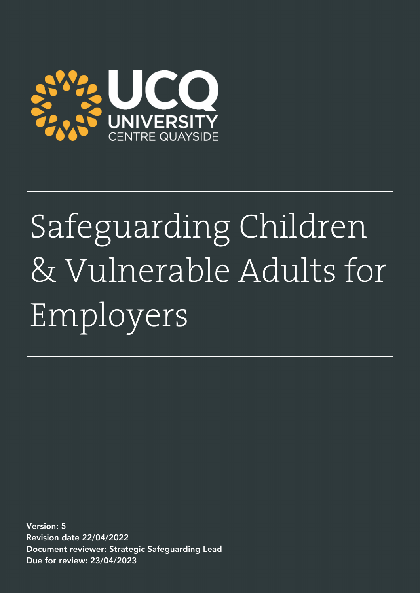

# Safeguarding Children & Vulnerable Adults for Employers

Version: 5 Revision date 22/04/2022 Document reviewer: Strategic Safeguarding Lead Due for review: 23/04/2023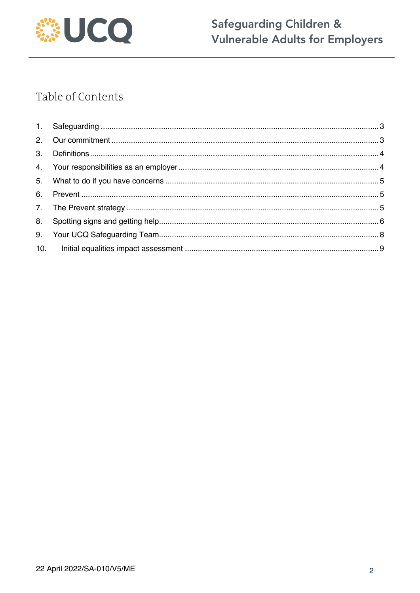

## Safeguarding Children & Vulnerable Adults for Employers

## Table of Contents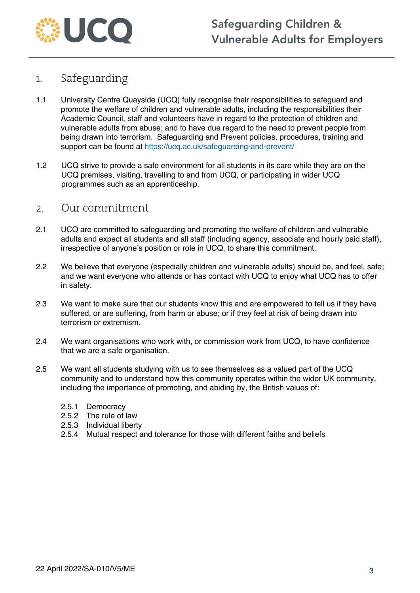

### 1. Safeguarding

- 1.1 University Centre Quayside (UCQ) fully recognise their responsibilities to safeguard and promote the welfare of children and vulnerable adults, including the responsibilities their Academic Council, staff and volunteers have in regard to the protection of children and vulnerable adults from abuse; and to have due regard to the need to prevent people from being drawn into terrorism. Safeguarding and Prevent policies, procedures, training and support can be found at https://ucq.ac.uk/safeguarding-and-prevent/
- 1.2 UCQ strive to provide a safe environment for all students in its care while they are on the UCQ premises, visiting, travelling to and from UCQ, or participating in wider UCQ programmes such as an apprenticeship.

#### 2. Our commitment

- 2.1 UCQ are committed to safeguarding and promoting the welfare of children and vulnerable adults and expect all students and all staff (including agency, associate and hourly paid staff), irrespective of anyone's position or role in UCQ, to share this commitment.
- 2.2 We believe that everyone (especially children and vulnerable adults) should be, and feel, safe; and we want everyone who attends or has contact with UCQ to enjoy what UCQ has to offer in safety.
- 2.3 We want to make sure that our students know this and are empowered to tell us if they have suffered, or are suffering, from harm or abuse; or if they feel at risk of being drawn into terrorism or extremism.
- 2.4 We want organisations who work with, or commission work from UCQ, to have confidence that we are a safe organisation.
- 2.5 We want all students studying with us to see themselves as a valued part of the UCQ community and to understand how this community operates within the wider UK community, including the importance of promoting, and abiding by, the British values of:
	- 2.5.1 Democracy
	- 2.5.2 The rule of law
	- 2.5.3 Individual liberty
	- 2.5.4 Mutual respect and tolerance for those with different faiths and beliefs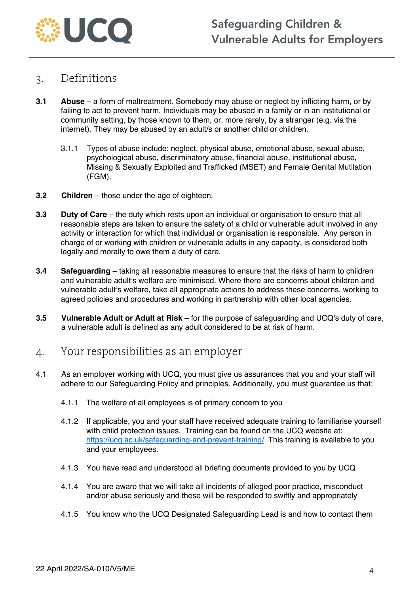

#### 3. Definitions

- **3.1 Abuse**  a form of maltreatment. Somebody may abuse or neglect by inflicting harm, or by failing to act to prevent harm. Individuals may be abused in a family or in an institutional or community setting, by those known to them, or, more rarely, by a stranger (e.g. via the internet). They may be abused by an adult/s or another child or children.
	- 3.1.1 Types of abuse include: neglect, physical abuse, emotional abuse, sexual abuse, psychological abuse, discriminatory abuse, financial abuse, institutional abuse, Missing & Sexually Exploited and Trafficked (MSET) and Female Genital Mutilation (FGM).
- **3.2 Children** those under the age of eighteen.
- **3.3 Duty of Care** the duty which rests upon an individual or organisation to ensure that all reasonable steps are taken to ensure the safety of a child or vulnerable adult involved in any activity or interaction for which that individual or organisation is responsible. Any person in charge of or working with children or vulnerable adults in any capacity, is considered both legally and morally to owe them a duty of care.
- **3.4 Safeguarding** taking all reasonable measures to ensure that the risks of harm to children and vulnerable adult's welfare are minimised. Where there are concerns about children and vulnerable adult's welfare, take all appropriate actions to address these concerns, working to agreed policies and procedures and working in partnership with other local agencies.
- **3.5 Vulnerable Adult or Adult at Risk**  for the purpose of safeguarding and UCQ's duty of care, a vulnerable adult is defined as any adult considered to be at risk of harm.

### 4. Your responsibilities as an employer

- 4.1 As an employer working with UCQ, you must give us assurances that you and your staff will adhere to our Safeguarding Policy and principles. Additionally, you must guarantee us that:
	- 4.1.1 The welfare of all employees is of primary concern to you
	- 4.1.2 If applicable, you and your staff have received adequate training to familiarise yourself with child protection issues. Training can be found on the UCQ website at: https://ucq.ac.uk/safeguarding-and-prevent-training/ This training is available to you and your employees.
	- 4.1.3 You have read and understood all briefing documents provided to you by UCQ
	- 4.1.4 You are aware that we will take all incidents of alleged poor practice, misconduct and/or abuse seriously and these will be responded to swiftly and appropriately
	- 4.1.5 You know who the UCQ Designated Safeguarding Lead is and how to contact them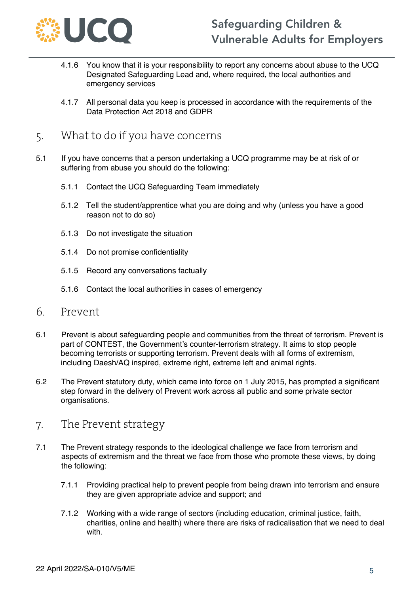

- 4.1.6 You know that it is your responsibility to report any concerns about abuse to the UCQ Designated Safeguarding Lead and, where required, the local authorities and emergency services
- 4.1.7 All personal data you keep is processed in accordance with the requirements of the Data Protection Act 2018 and GDPR
- 5. What to do if you have concerns
- 5.1 If you have concerns that a person undertaking a UCQ programme may be at risk of or suffering from abuse you should do the following:
	- 5.1.1 Contact the UCQ Safeguarding Team immediately
	- 5.1.2 Tell the student/apprentice what you are doing and why (unless you have a good reason not to do so)
	- 5.1.3 Do not investigate the situation
	- 5.1.4 Do not promise confidentiality
	- 5.1.5 Record any conversations factually
	- 5.1.6 Contact the local authorities in cases of emergency
- 6. Prevent
- 6.1 Prevent is about safeguarding people and communities from the threat of terrorism. Prevent is part of CONTEST, the Government's counter-terrorism strategy. It aims to stop people becoming terrorists or supporting terrorism. Prevent deals with all forms of extremism, including Daesh/AQ inspired, extreme right, extreme left and animal rights.
- 6.2 The Prevent statutory duty, which came into force on 1 July 2015, has prompted a significant step forward in the delivery of Prevent work across all public and some private sector organisations.
- 7. The Prevent strategy
- 7.1 The Prevent strategy responds to the ideological challenge we face from terrorism and aspects of extremism and the threat we face from those who promote these views, by doing the following:
	- 7.1.1 Providing practical help to prevent people from being drawn into terrorism and ensure they are given appropriate advice and support; and
	- 7.1.2 Working with a wide range of sectors (including education, criminal justice, faith, charities, online and health) where there are risks of radicalisation that we need to deal with.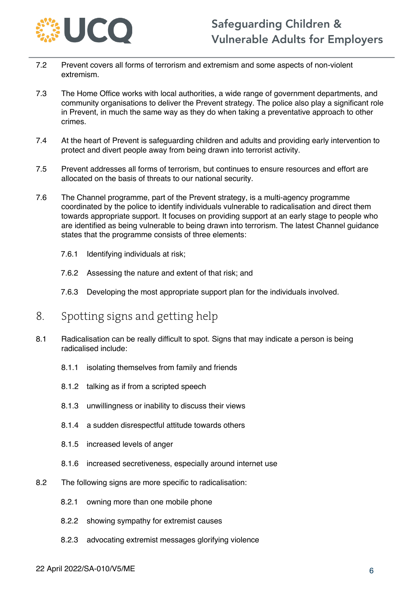

- 7.2 Prevent covers all forms of terrorism and extremism and some aspects of non-violent extremism.
- 7.3 The Home Office works with local authorities, a wide range of government departments, and community organisations to deliver the Prevent strategy. The police also play a significant role in Prevent, in much the same way as they do when taking a preventative approach to other crimes.
- 7.4 At the heart of Prevent is safeguarding children and adults and providing early intervention to protect and divert people away from being drawn into terrorist activity.
- 7.5 Prevent addresses all forms of terrorism, but continues to ensure resources and effort are allocated on the basis of threats to our national security.
- 7.6 The Channel programme, part of the Prevent strategy, is a multi-agency programme coordinated by the police to identify individuals vulnerable to radicalisation and direct them towards appropriate support. It focuses on providing support at an early stage to people who are identified as being vulnerable to being drawn into terrorism. The latest Channel guidance states that the programme consists of three elements:
	- 7.6.1 Identifying individuals at risk;
	- 7.6.2 Assessing the nature and extent of that risk; and
	- 7.6.3 Developing the most appropriate support plan for the individuals involved.
- 8. Spotting signs and getting help
- 8.1 Radicalisation can be really difficult to spot. Signs that may indicate a person is being radicalised include:
	- 8.1.1 isolating themselves from family and friends
	- 8.1.2 talking as if from a scripted speech
	- 8.1.3 unwillingness or inability to discuss their views
	- 8.1.4 a sudden disrespectful attitude towards others
	- 8.1.5 increased levels of anger
	- 8.1.6 increased secretiveness, especially around internet use
- 8.2 The following signs are more specific to radicalisation:
	- 8.2.1 owning more than one mobile phone
	- 8.2.2 showing sympathy for extremist causes
	- 8.2.3 advocating extremist messages glorifying violence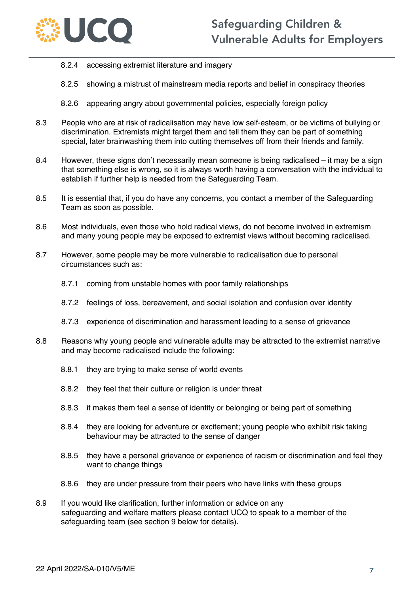

- 8.2.4 accessing extremist literature and imagery
- 8.2.5 showing a mistrust of mainstream media reports and belief in conspiracy theories
- 8.2.6 appearing angry about governmental policies, especially foreign policy
- 8.3 People who are at risk of radicalisation may have low self-esteem, or be victims of bullying or discrimination. Extremists might target them and tell them they can be part of something special, later brainwashing them into cutting themselves off from their friends and family.
- 8.4 However, these signs don't necessarily mean someone is being radicalised it may be a sign that something else is wrong, so it is always worth having a conversation with the individual to establish if further help is needed from the Safeguarding Team.
- 8.5 It is essential that, if you do have any concerns, you contact a member of the Safeguarding Team as soon as possible.
- 8.6 Most individuals, even those who hold radical views, do not become involved in extremism and many young people may be exposed to extremist views without becoming radicalised.
- 8.7 However, some people may be more vulnerable to radicalisation due to personal circumstances such as:
	- 8.7.1 coming from unstable homes with poor family relationships
	- 8.7.2 feelings of loss, bereavement, and social isolation and confusion over identity
	- 8.7.3 experience of discrimination and harassment leading to a sense of grievance
- 8.8 Reasons why young people and vulnerable adults may be attracted to the extremist narrative and may become radicalised include the following:
	- 8.8.1 they are trying to make sense of world events
	- 8.8.2 they feel that their culture or religion is under threat
	- 8.8.3 it makes them feel a sense of identity or belonging or being part of something
	- 8.8.4 they are looking for adventure or excitement; young people who exhibit risk taking behaviour may be attracted to the sense of danger
	- 8.8.5 they have a personal grievance or experience of racism or discrimination and feel they want to change things
	- 8.8.6 they are under pressure from their peers who have links with these groups
- 8.9 If you would like clarification, further information or advice on any safeguarding and welfare matters please contact UCQ to speak to a member of the safeguarding team (see section 9 below for details).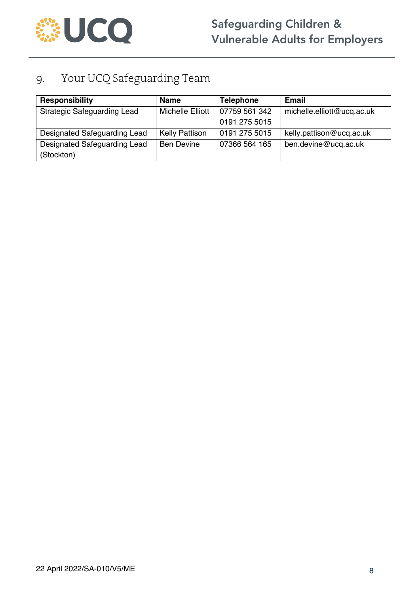

## 9. Your UCQ Safeguarding Team

| Responsibility                     | <b>Name</b>           | <b>Telephone</b> | <b>Email</b>               |
|------------------------------------|-----------------------|------------------|----------------------------|
| <b>Strategic Safeguarding Lead</b> | Michelle Elliott      | 07759 561 342    | michelle.elliott@ucq.ac.uk |
|                                    |                       | 0191 275 5015    |                            |
| Designated Safeguarding Lead       | <b>Kelly Pattison</b> | 0191 275 5015    | kelly.pattison@ucq.ac.uk   |
| Designated Safeguarding Lead       | <b>Ben Devine</b>     | 07366 564 165    | ben.devine@ucq.ac.uk       |
| (Stockton)                         |                       |                  |                            |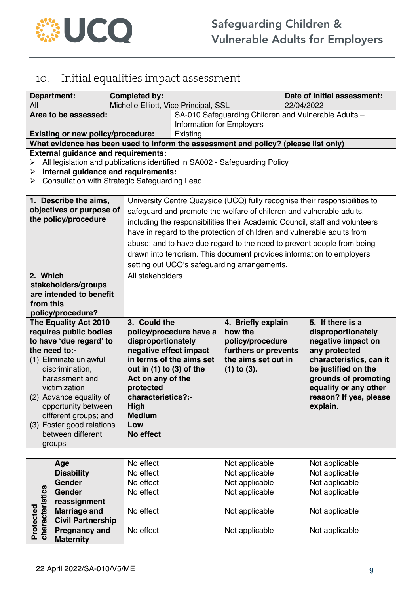

## 10. Initial equalities impact assessment

| <b>Department:</b><br>All                                                                                                                                                                                                                                                                                                                                                                                                                                                                                                                                                                    | <b>Completed by:</b>                                                                                                                                                                                             | Date of initial assessment:<br>Michelle Elliott, Vice Principal, SSL<br>22/04/2022 |                                                                                                                      |  |                                                                                                                                                                                                                        |
|----------------------------------------------------------------------------------------------------------------------------------------------------------------------------------------------------------------------------------------------------------------------------------------------------------------------------------------------------------------------------------------------------------------------------------------------------------------------------------------------------------------------------------------------------------------------------------------------|------------------------------------------------------------------------------------------------------------------------------------------------------------------------------------------------------------------|------------------------------------------------------------------------------------|----------------------------------------------------------------------------------------------------------------------|--|------------------------------------------------------------------------------------------------------------------------------------------------------------------------------------------------------------------------|
| Area to be assessed:                                                                                                                                                                                                                                                                                                                                                                                                                                                                                                                                                                         |                                                                                                                                                                                                                  | SA-010 Safeguarding Children and Vulnerable Adults -<br>Information for Employers  |                                                                                                                      |  |                                                                                                                                                                                                                        |
| <b>Existing or new policy/procedure:</b>                                                                                                                                                                                                                                                                                                                                                                                                                                                                                                                                                     |                                                                                                                                                                                                                  | Existing                                                                           |                                                                                                                      |  |                                                                                                                                                                                                                        |
| What evidence has been used to inform the assessment and policy? (please list only)                                                                                                                                                                                                                                                                                                                                                                                                                                                                                                          |                                                                                                                                                                                                                  |                                                                                    |                                                                                                                      |  |                                                                                                                                                                                                                        |
| ➤<br>➤<br>➤                                                                                                                                                                                                                                                                                                                                                                                                                                                                                                                                                                                  | <b>External guidance and requirements:</b><br>All legislation and publications identified in SA002 - Safeguarding Policy<br>Internal guidance and requirements:<br>Consultation with Strategic Safeguarding Lead |                                                                                    |                                                                                                                      |  |                                                                                                                                                                                                                        |
| University Centre Quayside (UCQ) fully recognise their responsibilities to<br>1. Describe the aims,<br>objectives or purpose of<br>safeguard and promote the welfare of children and vulnerable adults,<br>the policy/procedure<br>including the responsibilities their Academic Council, staff and volunteers<br>have in regard to the protection of children and vulnerable adults from<br>abuse; and to have due regard to the need to prevent people from being<br>drawn into terrorism. This document provides information to employers<br>setting out UCQ's safeguarding arrangements. |                                                                                                                                                                                                                  |                                                                                    |                                                                                                                      |  |                                                                                                                                                                                                                        |
| 2. Which<br>stakeholders/groups<br>are intended to benefit<br>from this<br>policy/procedure?                                                                                                                                                                                                                                                                                                                                                                                                                                                                                                 | All stakeholders                                                                                                                                                                                                 |                                                                                    |                                                                                                                      |  |                                                                                                                                                                                                                        |
| The Equality Act 2010<br>requires public bodies<br>to have 'due regard' to<br>the need to:-<br>(1) Eliminate unlawful<br>discrimination,<br>harassment and<br>victimization<br>(2) Advance equality of<br>opportunity between<br>different groups; and<br>(3) Foster good relations<br>between different<br>groups                                                                                                                                                                                                                                                                           | 3. Could the<br>disproportionately<br>negative effect impact<br>out in $(1)$ to $(3)$ of the<br>Act on any of the<br>protected<br>characteristics?:-<br>High<br><b>Medium</b><br>Low<br>No effect                | policy/procedure have a<br>in terms of the aims set                                | 4. Briefly explain<br>how the<br>policy/procedure<br>furthers or prevents<br>the aims set out in<br>$(1)$ to $(3)$ . |  | 5. If there is a<br>disproportionately<br>negative impact on<br>any protected<br>characteristics, can it<br>be justified on the<br>grounds of promoting<br>equality or any other<br>reason? If yes, please<br>explain. |

|                              | Age                      | No effect | Not applicable | Not applicable |
|------------------------------|--------------------------|-----------|----------------|----------------|
| Protected<br>:haracteristics | <b>Disability</b>        | No effect | Not applicable | Not applicable |
|                              | <b>Gender</b>            | No effect | Not applicable | Not applicable |
|                              | <b>Gender</b>            | No effect | Not applicable | Not applicable |
|                              | reassignment             |           |                |                |
|                              | <b>Marriage and</b>      | No effect | Not applicable | Not applicable |
|                              | <b>Civil Partnership</b> |           |                |                |
|                              | <b>Pregnancy and</b>     | No effect | Not applicable | Not applicable |
| 6 ㅎ                          | <b>Maternity</b>         |           |                |                |